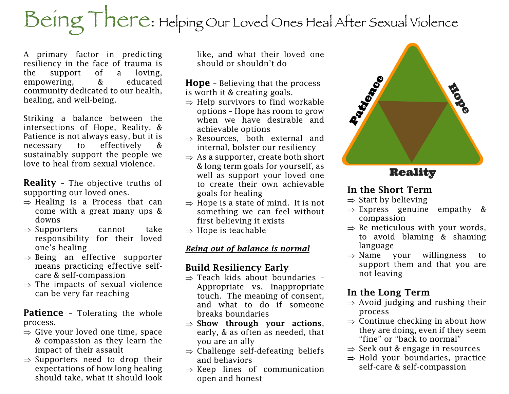# Being There: Helping Our Loved Ones Heal After Sexual Violence

A primary factor in predicting resiliency in the face of trauma is the support of a loving, empowering, & educated community dedicated to our health, healing, and well-being.

Striking a balance between the intersections of Hope, Reality, & Patience is not always easy, but it is necessary to effectively & sustainably support the people we love to heal from sexual violence.

Reality – The objective truths of supporting our loved ones.

- $\Rightarrow$  Healing is a Process that can come with a great many ups & downs
- $\Rightarrow$  Supporters cannot take responsibility for their loved one's healing
- $\Rightarrow$  Being an effective supporter means practicing effective selfcare & self-compassion
- $\Rightarrow$  The impacts of sexual violence can be very far reaching

Patience - Tolerating the whole process.

- $\Rightarrow$  Give your loved one time, space & compassion as they learn the impact of their assault
- $\Rightarrow$  Supporters need to drop their expectations of how long healing should take, what it should look

like, and what their loved one should or shouldn't do

**Hope** - Believing that the process is worth it & creating goals.

- $\Rightarrow$  Help survivors to find workable options – Hope has room to grow when we have desirable and achievable options
- $\Rightarrow$  Resources, both external and internal, bolster our resiliency
- $\Rightarrow$  As a supporter, create both short & long term goals for yourself, as well as support your loved one to create their own achievable goals for healing
- $\Rightarrow$  Hope is a state of mind. It is not something we can feel without first believing it exists
- $\Rightarrow$  Hope is teachable

#### *Being out of balance is normal*

## Build Resiliency Early

- $\Rightarrow$  Teach kids about boundaries -Appropriate vs. Inappropriate touch. The meaning of consent, and what to do if someone breaks boundaries
- $\Rightarrow$  Show through your actions, early, & as often as needed, that you are an ally
- $\Rightarrow$  Challenge self-defeating beliefs and behaviors
- $\Rightarrow$  Keep lines of communication open and honest



# **Reality**

### In the Short Term

- $\Rightarrow$  Start by believing
- $\Rightarrow$  Express genuine empathy & compassion
- $\Rightarrow$  Be meticulous with your words,
- to avoid blaming & shaming language
- $\Rightarrow$  Name your willingness to support them and that you are not leaving

# In the Long Term

- $\Rightarrow$  Avoid judging and rushing their process
- $\Rightarrow$  Continue checking in about how they are doing, even if they seem "fine" or "back to normal"
- $\Rightarrow$  Seek out & engage in resources
- $\Rightarrow$  Hold your boundaries, practice self-care & self-compassion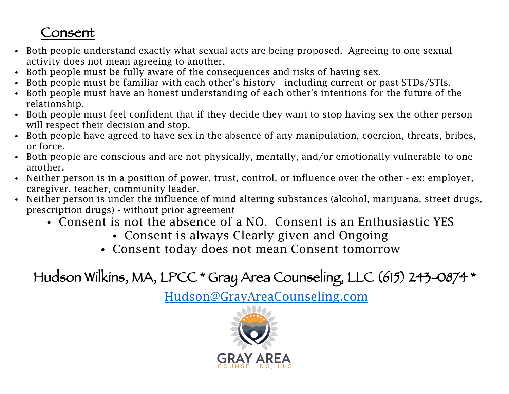# Consent

- Both people understand exactly what sexual acts are being proposed. Agreeing to one sexual activity does not mean agreeing to another.
- Both people must be fully aware of the consequences and risks of having sex.
- Both people must be familiar with each other's history including current or past STDs/STIs.
- Both people must have an honest understanding of each other's intentions for the future of the relationship.
- Both people must feel confident that if they decide they want to stop having sex the other person will respect their decision and stop.
- Both people have agreed to have sex in the absence of any manipulation, coercion, threats, bribes, or force.
- Both people are conscious and are not physically, mentally, and/or emotionally vulnerable to one another.
- Neither person is in a position of power, trust, control, or influence over the other ex: employer, caregiver, teacher, community leader.
- Neither person is under the influence of mind altering substances (alcohol, marijuana, street drugs, prescription drugs) - without prior agreement
	- Consent is not the absence of a NO. Consent is an Enthusiastic YES
		- Consent is always Clearly given and Ongoing
		- Consent today does not mean Consent tomorrow

Hudson Wilkins, MA, LPCC \* Gray Area Counseling, LLC (615) 243-0874 \*

Hudson@GrayAreaCounseling.com